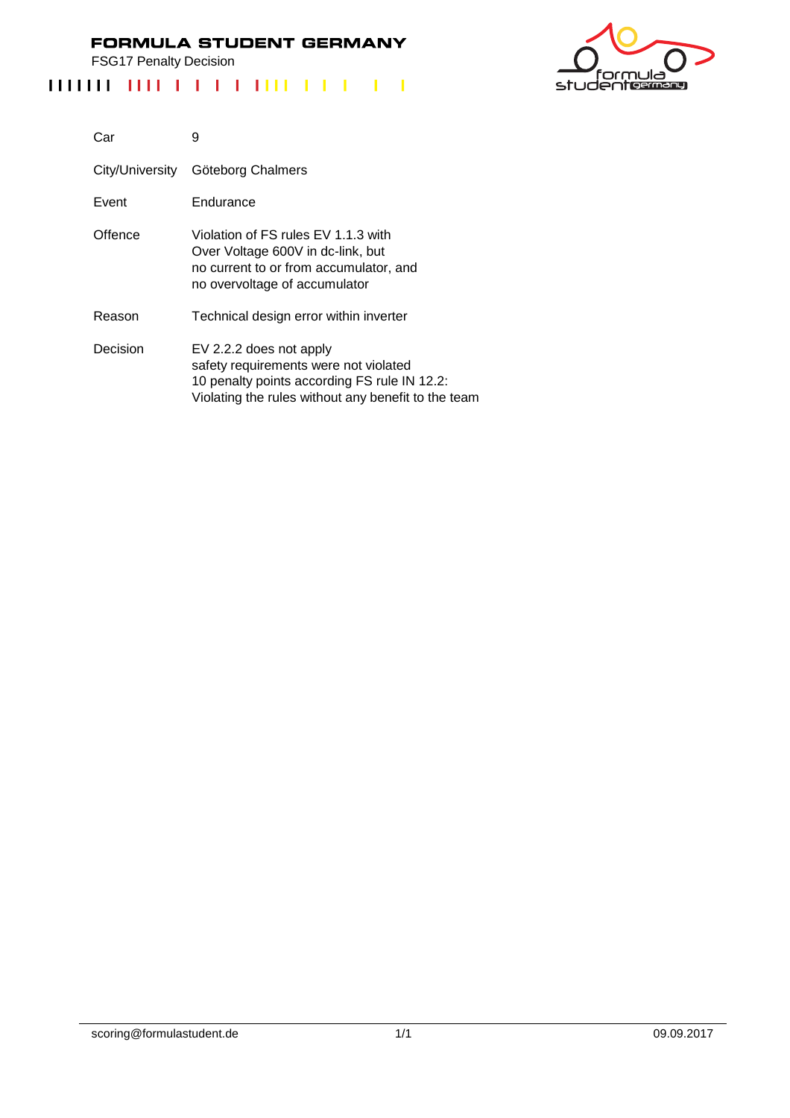FSG17 Penalty Decision



| Car             | 9                                                                                                                                                                       |
|-----------------|-------------------------------------------------------------------------------------------------------------------------------------------------------------------------|
| City/University | Göteborg Chalmers                                                                                                                                                       |
| Event           | Endurance                                                                                                                                                               |
| Offence         | Violation of FS rules EV 1.1.3 with<br>Over Voltage 600V in dc-link, but<br>no current to or from accumulator, and<br>no overvoltage of accumulator                     |
| Reason          | Technical design error within inverter                                                                                                                                  |
| Decision        | EV 2.2.2 does not apply<br>safety requirements were not violated<br>10 penalty points according FS rule IN 12.2:<br>Violating the rules without any benefit to the team |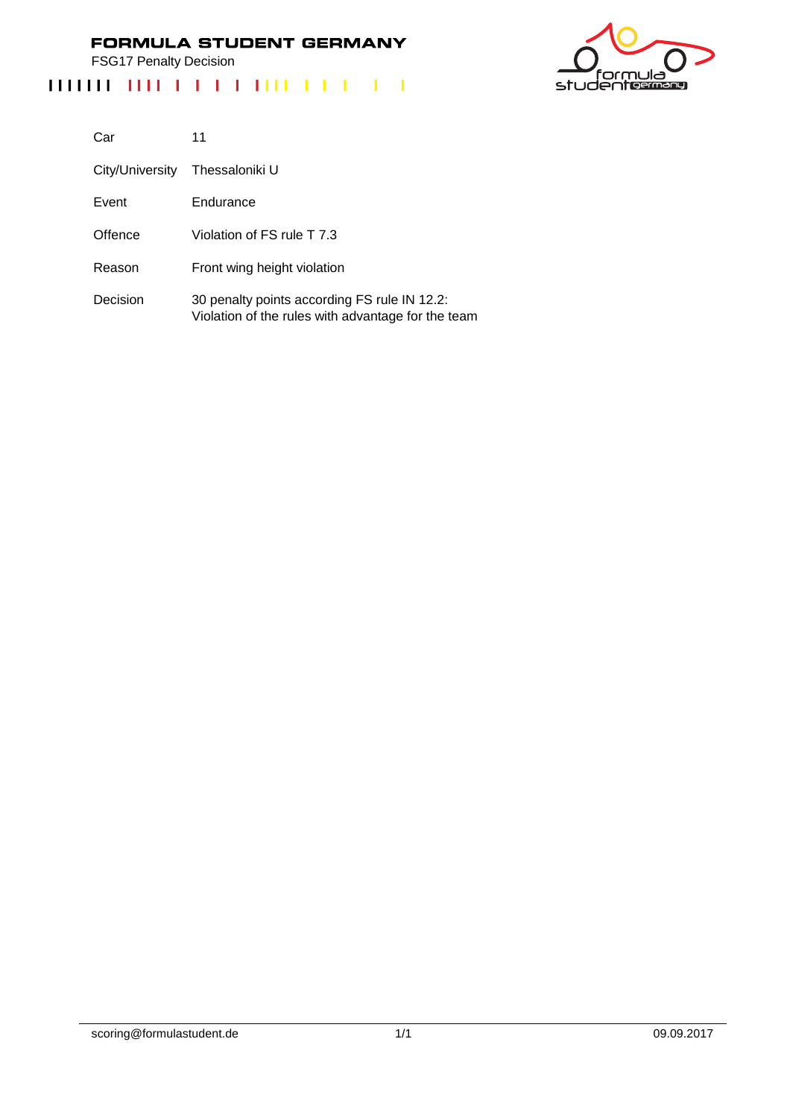FSG17 Penalty Decision



| Car             | 11                                                                                                 |
|-----------------|----------------------------------------------------------------------------------------------------|
| City/University | Thessaloniki U                                                                                     |
| Event           | Endurance                                                                                          |
| Offence         | Violation of FS rule T 7.3                                                                         |
| Reason          | Front wing height violation                                                                        |
| Decision        | 30 penalty points according FS rule IN 12.2:<br>Violation of the rules with advantage for the team |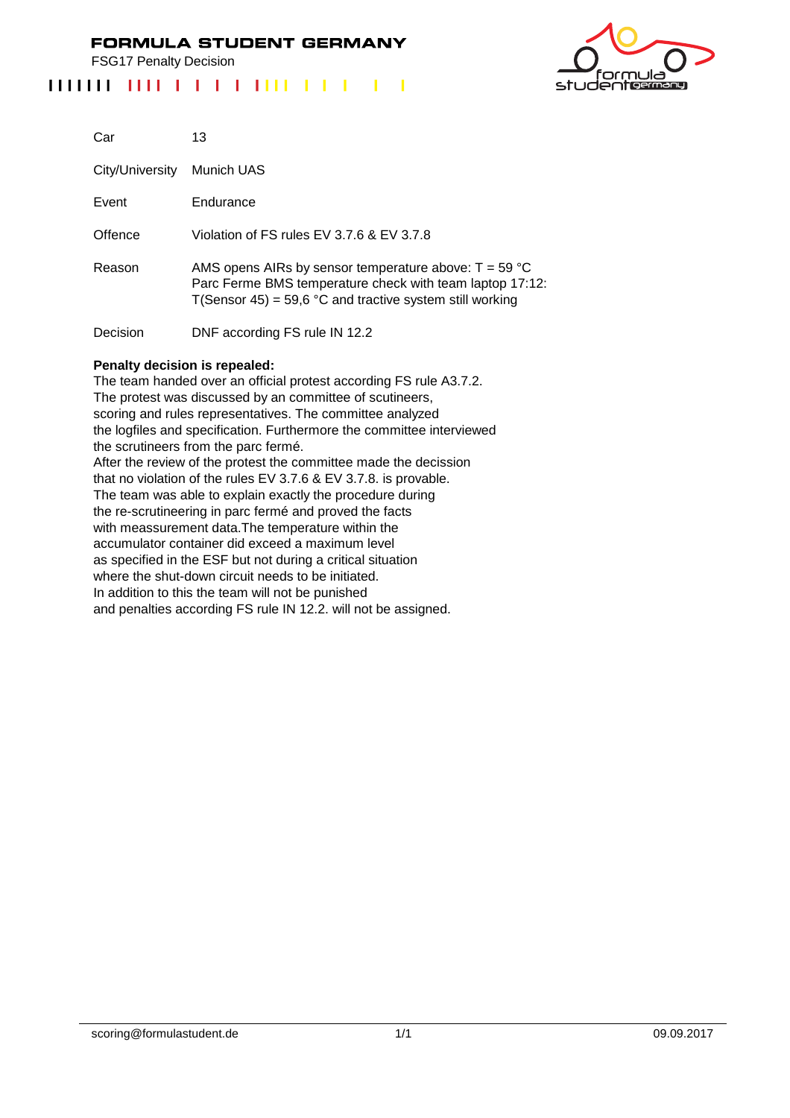FSG17 Penalty Decision

## 



| Car             | 13                                                                                                                                                                              |
|-----------------|---------------------------------------------------------------------------------------------------------------------------------------------------------------------------------|
| City/University | Munich UAS                                                                                                                                                                      |
| Event           | Endurance                                                                                                                                                                       |
| Offence         | Violation of FS rules EV 3.7.6 & EV 3.7.8                                                                                                                                       |
| Reason          | AMS opens AIRs by sensor temperature above: $T = 59 °C$<br>Parc Ferme BMS temperature check with team laptop 17:12:<br>T(Sensor 45) = 59,6 °C and tractive system still working |
| Decision        | DNF according FS rule IN 12.2                                                                                                                                                   |

#### **Penalty decision is repealed:**

The team handed over an official protest according FS rule A3.7.2. The protest was discussed by an committee of scutineers, scoring and rules representatives. The committee analyzed the logfiles and specification. Furthermore the committee interviewed the scrutineers from the parc fermé. After the review of the protest the committee made the decission that no violation of the rules EV 3.7.6 & EV 3.7.8. is provable. The team was able to explain exactly the procedure during the re-scrutineering in parc fermé and proved the facts with meassurement data.The temperature within the accumulator container did exceed a maximum level as specified in the ESF but not during a critical situation where the shut-down circuit needs to be initiated. In addition to this the team will not be punished and penalties according FS rule IN 12.2. will not be assigned.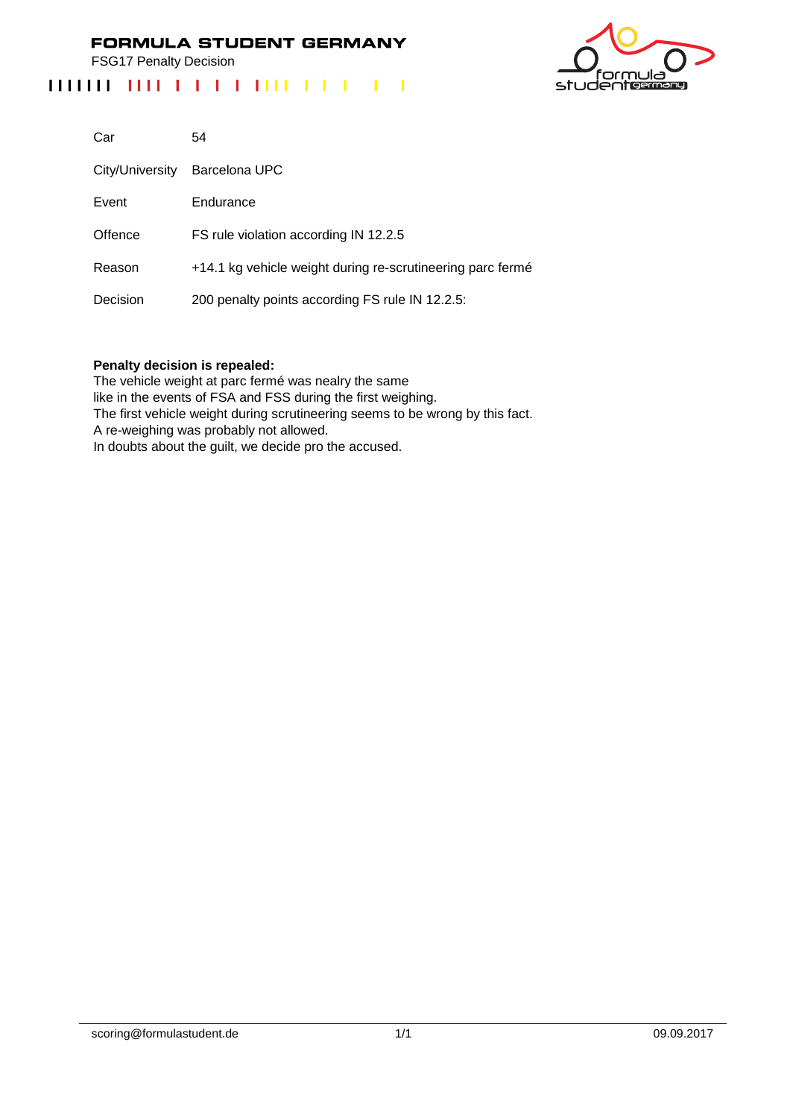FSG17 Penalty Decision

# 



| Car             | 54                                                         |
|-----------------|------------------------------------------------------------|
| City/University | Barcelona UPC                                              |
| Event           | Endurance                                                  |
| Offence         | FS rule violation according IN 12.2.5                      |
| Reason          | +14.1 kg vehicle weight during re-scrutineering parc fermé |
| Decision        | 200 penalty points according FS rule IN 12.2.5:            |

#### **Penalty decision is repealed:**

The vehicle weight at parc fermé was nealry the same like in the events of FSA and FSS during the first weighing. The first vehicle weight during scrutineering seems to be wrong by this fact. A re-weighing was probably not allowed. In doubts about the guilt, we decide pro the accused.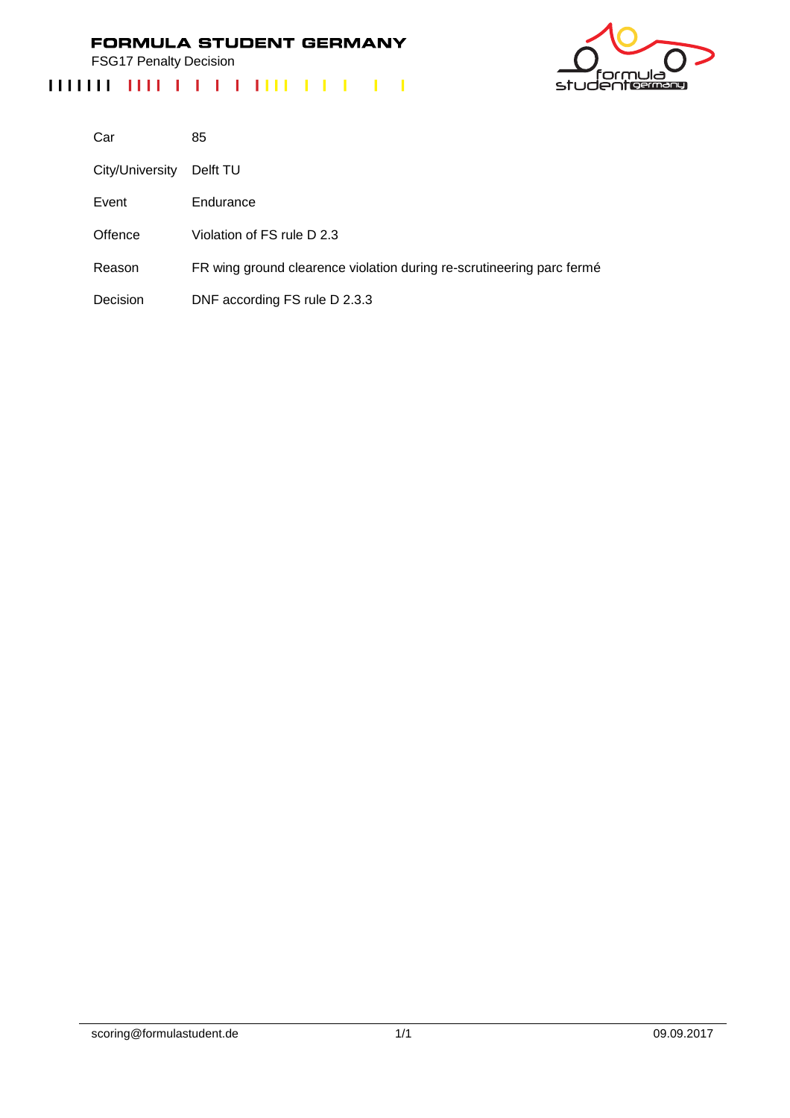FSG17 Penalty Decision

# ەار 'nι studentermang

| Car             | 85                                                                    |
|-----------------|-----------------------------------------------------------------------|
| City/University | Delft TU                                                              |
| Event           | Endurance                                                             |
| Offence         | Violation of FS rule D 2.3                                            |
| Reason          | FR wing ground clearence violation during re-scrutineering parc fermé |
| Decision        | DNF according FS rule D 2.3.3                                         |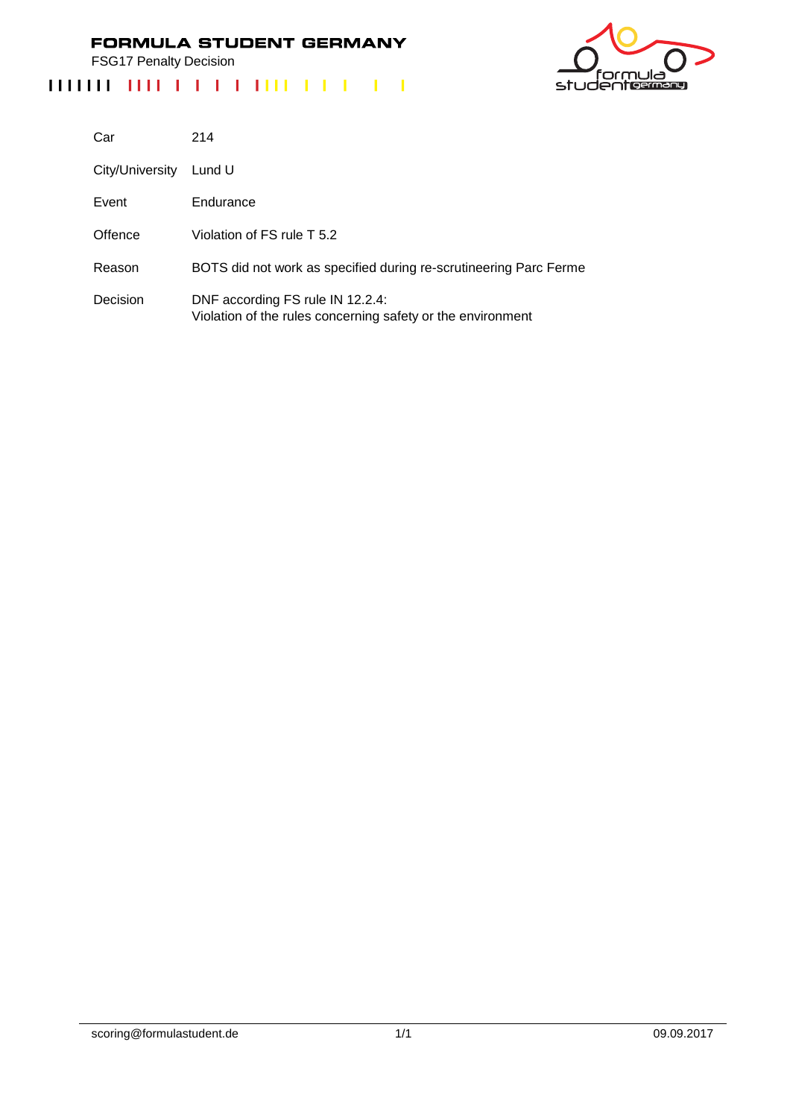FSG17 Penalty Decision



| Car             | 214                                                                                             |
|-----------------|-------------------------------------------------------------------------------------------------|
| City/University | Lund U                                                                                          |
| Event           | Endurance                                                                                       |
| Offence         | Violation of FS rule T 5.2                                                                      |
| Reason          | BOTS did not work as specified during re-scrutineering Parc Ferme                               |
| Decision        | DNF according FS rule IN 12.2.4:<br>Violation of the rules concerning safety or the environment |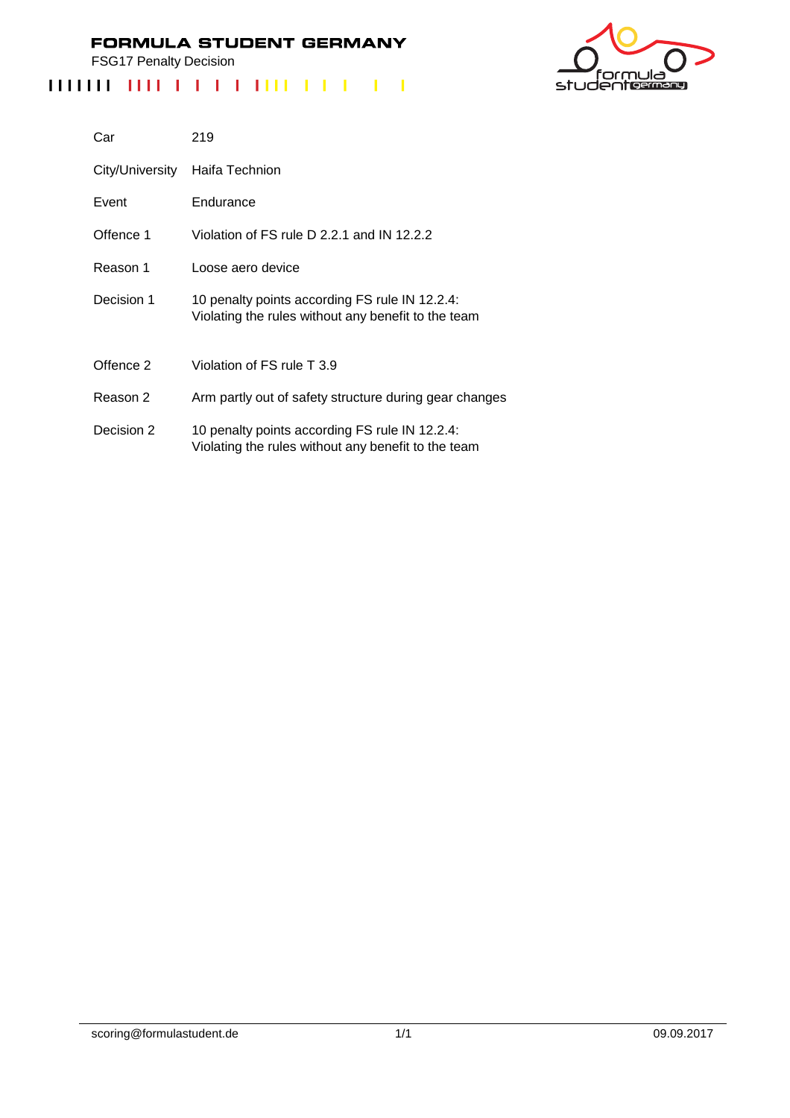FSG17 Penalty Decision



| Car             | 219                                                                                                   |
|-----------------|-------------------------------------------------------------------------------------------------------|
| City/University | Haifa Technion                                                                                        |
| Event           | Endurance                                                                                             |
| Offence 1       | Violation of FS rule D 2.2.1 and IN 12.2.2                                                            |
| Reason 1        | Loose aero device                                                                                     |
| Decision 1      | 10 penalty points according FS rule IN 12.2.4:<br>Violating the rules without any benefit to the team |
| Offence 2       | Violation of FS rule T 3.9                                                                            |
| Reason 2        | Arm partly out of safety structure during gear changes                                                |
| Decision 2      | 10 penalty points according FS rule IN 12.2.4:<br>Violating the rules without any benefit to the team |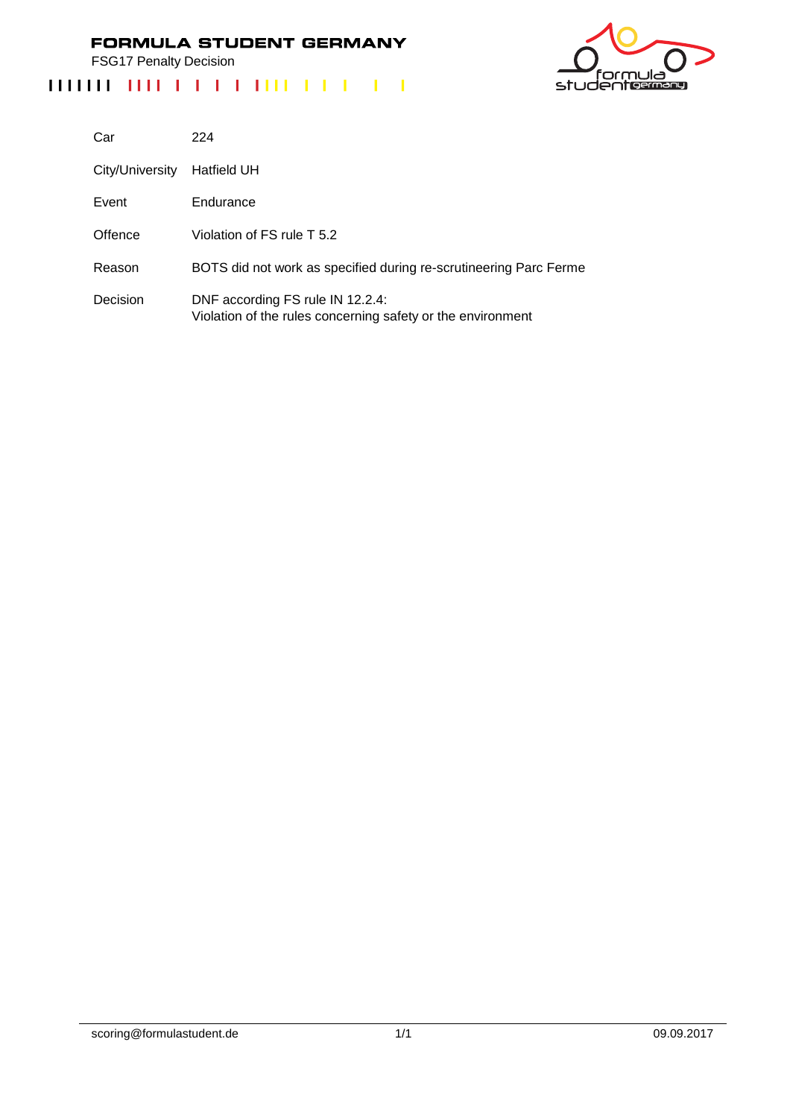FSG17 Penalty Decision

# 



| Car             | 224                                                                                             |
|-----------------|-------------------------------------------------------------------------------------------------|
| City/University | Hatfield UH                                                                                     |
| Event           | Endurance                                                                                       |
| Offence         | Violation of FS rule T 5.2                                                                      |
| Reason          | BOTS did not work as specified during re-scrutineering Parc Ferme                               |
| Decision        | DNF according FS rule IN 12.2.4:<br>Violation of the rules concerning safety or the environment |

scoring@formulastudent.de 1/1 09.09.2017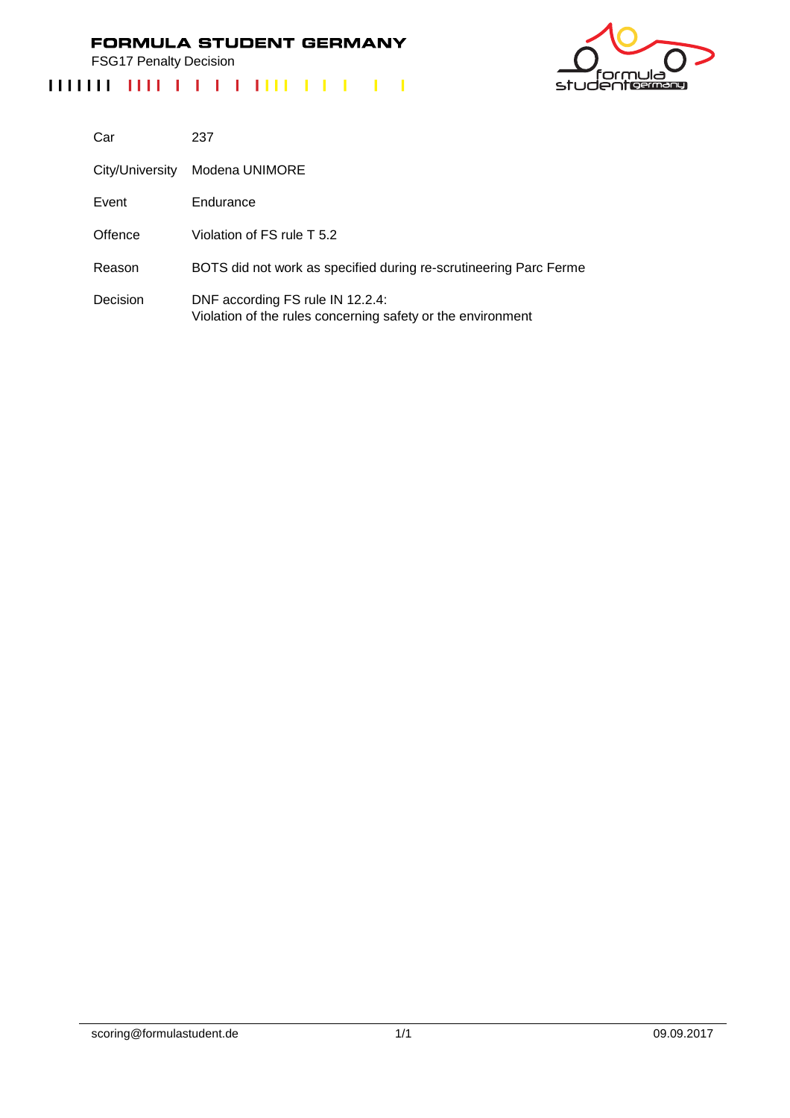FSG17 Penalty Decision



| Car             | 237                                                                                             |
|-----------------|-------------------------------------------------------------------------------------------------|
| City/University | Modena UNIMORE                                                                                  |
| Event           | Endurance                                                                                       |
| Offence         | Violation of FS rule T 5.2                                                                      |
| Reason          | BOTS did not work as specified during re-scrutineering Parc Ferme                               |
| Decision        | DNF according FS rule IN 12.2.4:<br>Violation of the rules concerning safety or the environment |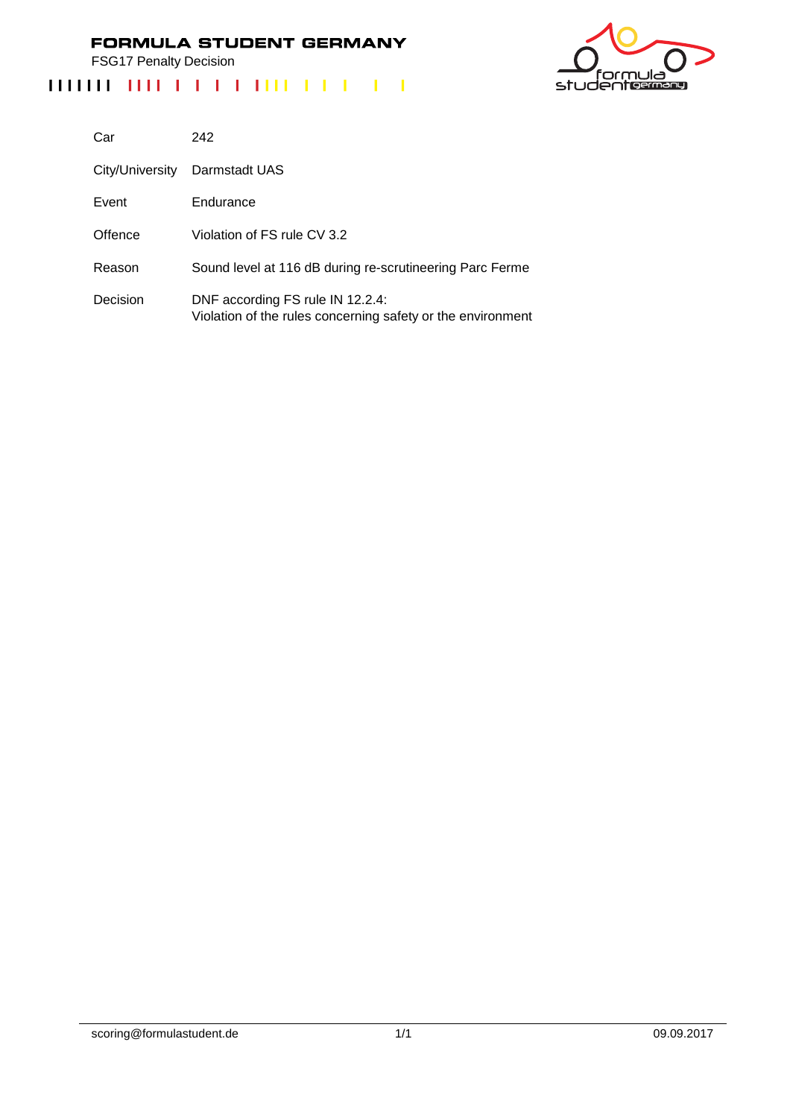FSG17 Penalty Decision

# <u>ت ار</u> nι studentermang

| Car             | 242                                                                                             |
|-----------------|-------------------------------------------------------------------------------------------------|
| City/University | Darmstadt UAS                                                                                   |
| Event           | Endurance                                                                                       |
| Offence         | Violation of FS rule CV 3.2                                                                     |
| Reason          | Sound level at 116 dB during re-scrutineering Parc Ferme                                        |
| Decision        | DNF according FS rule IN 12.2.4:<br>Violation of the rules concerning safety or the environment |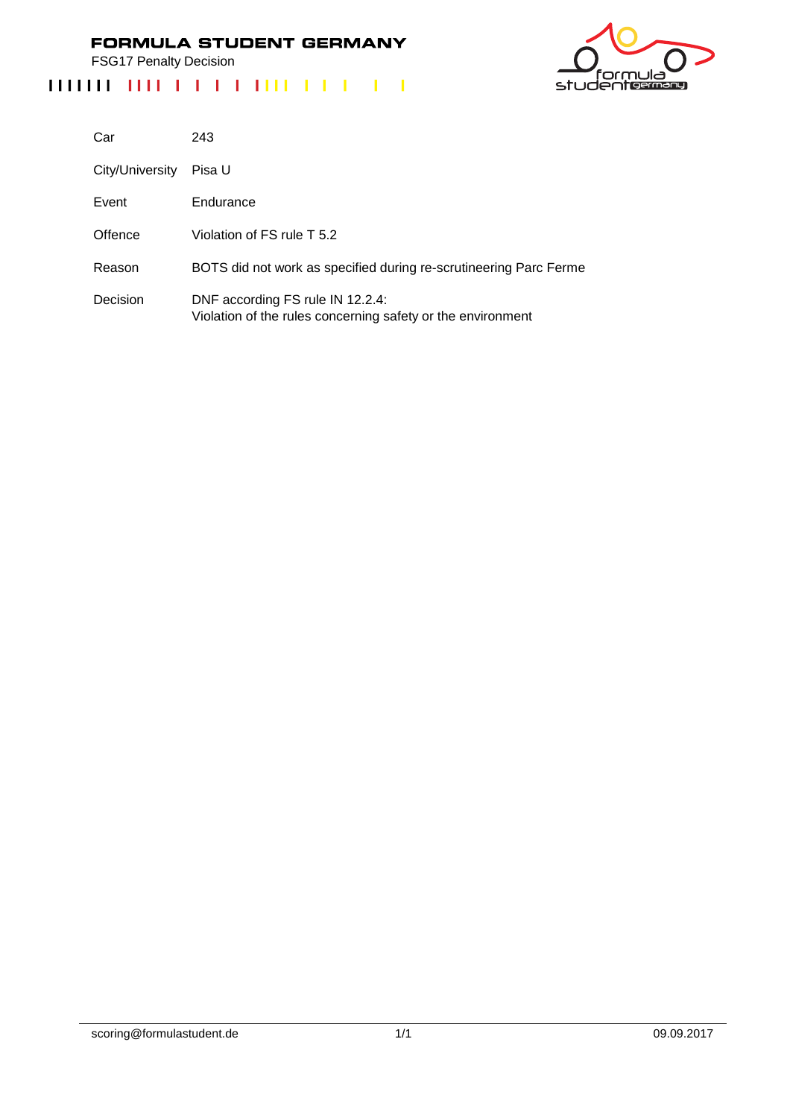FSG17 Penalty Decision

# ەار 'nι studentermang

| Car             | 243                                                                                             |
|-----------------|-------------------------------------------------------------------------------------------------|
| City/University | Pisa U                                                                                          |
| Event           | Endurance                                                                                       |
| Offence         | Violation of FS rule T 5.2                                                                      |
| Reason          | BOTS did not work as specified during re-scrutineering Parc Ferme                               |
| Decision        | DNF according FS rule IN 12.2.4:<br>Violation of the rules concerning safety or the environment |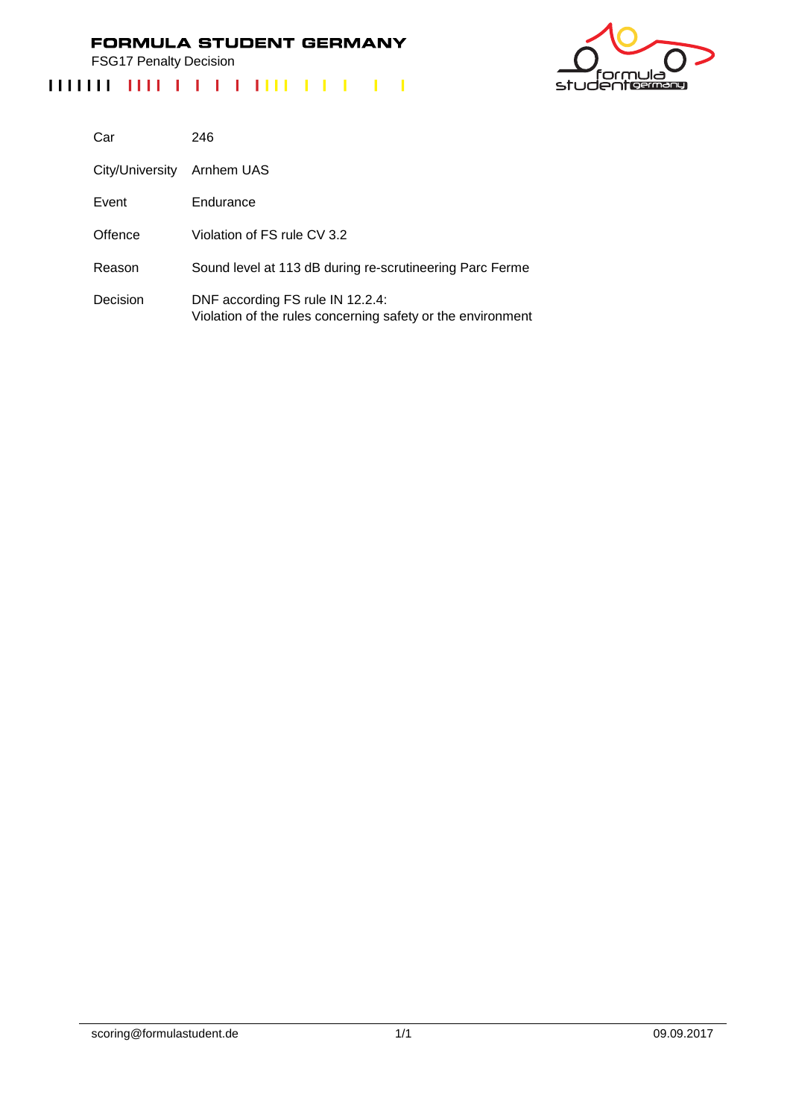FSG17 Penalty Decision

# <u>ت ار</u> nι studentermang

| Car             | 246                                                                                             |
|-----------------|-------------------------------------------------------------------------------------------------|
| City/University | Arnhem UAS                                                                                      |
| Event           | Endurance                                                                                       |
| Offence         | Violation of FS rule CV 3.2                                                                     |
| Reason          | Sound level at 113 dB during re-scrutineering Parc Ferme                                        |
| Decision        | DNF according FS rule IN 12.2.4:<br>Violation of the rules concerning safety or the environment |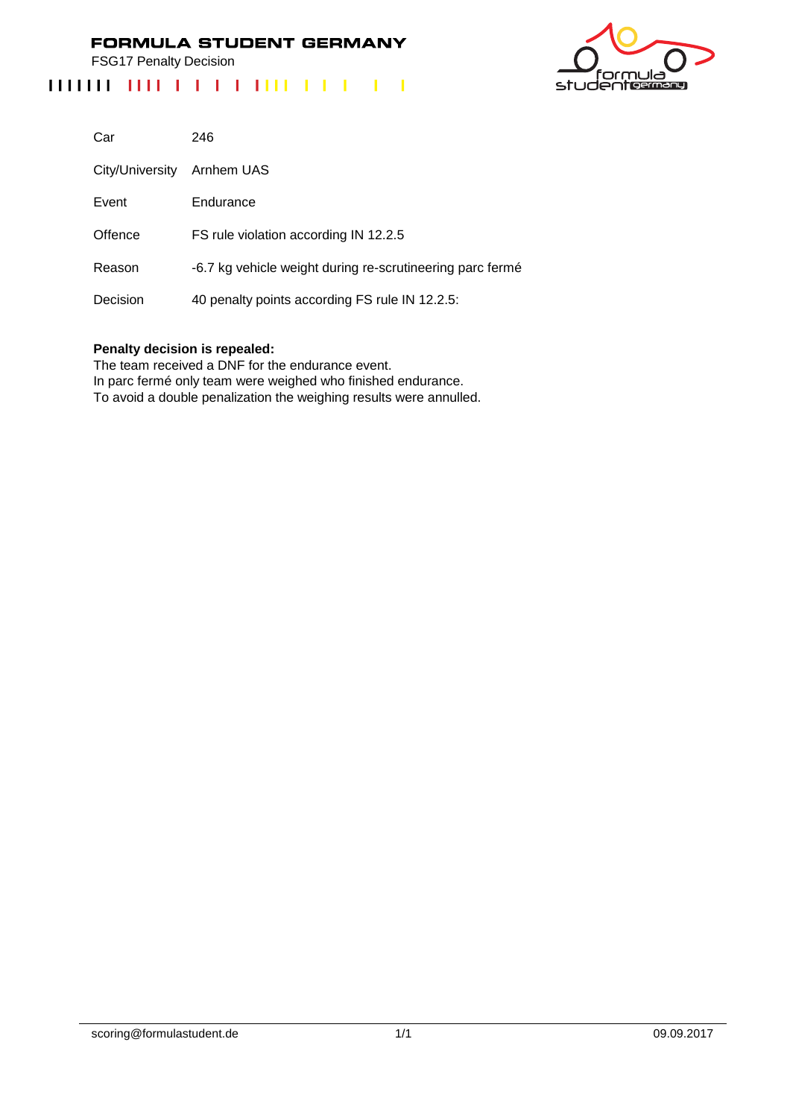FSG17 Penalty Decision

# 



| Car             | 246                                                       |
|-----------------|-----------------------------------------------------------|
| City/University | Arnhem UAS                                                |
| Event           | Endurance                                                 |
| Offence         | FS rule violation according IN 12.2.5                     |
| Reason          | -6.7 kg vehicle weight during re-scrutineering parc fermé |
| Decision        | 40 penalty points according FS rule IN 12.2.5:            |

#### **Penalty decision is repealed:**

The team received a DNF for the endurance event.

In parc fermé only team were weighed who finished endurance.

To avoid a double penalization the weighing results were annulled.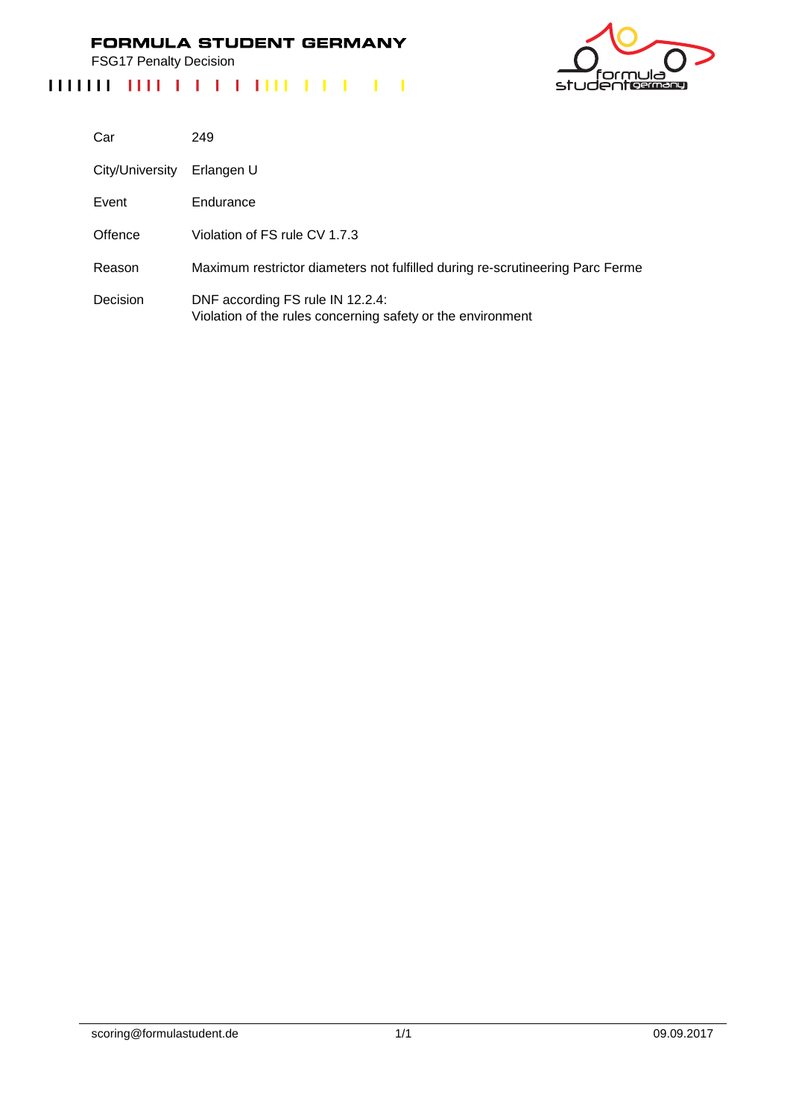FSG17 Penalty Decision



| Car             | 249                                                                                             |
|-----------------|-------------------------------------------------------------------------------------------------|
| City/University | Erlangen U                                                                                      |
| Event           | Endurance                                                                                       |
| Offence         | Violation of FS rule CV 1.7.3                                                                   |
| Reason          | Maximum restrictor diameters not fulfilled during re-scrutineering Parc Ferme                   |
| Decision        | DNF according FS rule IN 12.2.4:<br>Violation of the rules concerning safety or the environment |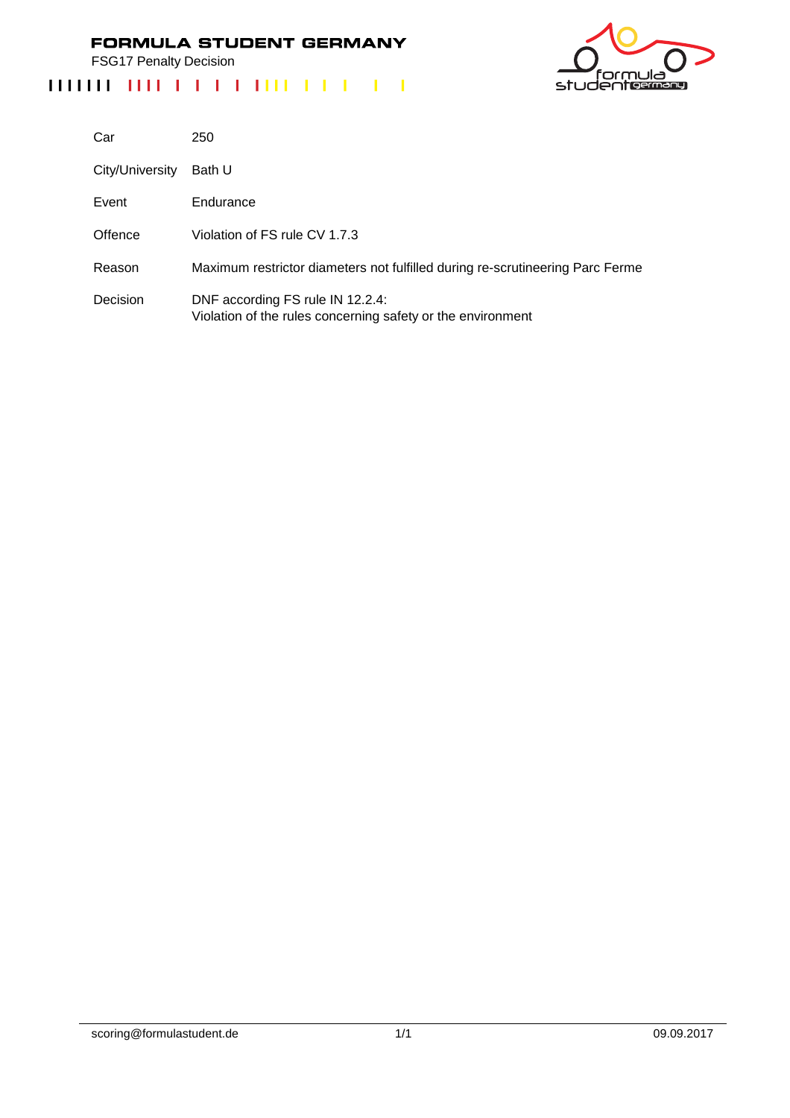FSG17 Penalty Decision

# studentes

| Car             | 250                                                                                             |
|-----------------|-------------------------------------------------------------------------------------------------|
| City/University | Bath U                                                                                          |
| Event           | Endurance                                                                                       |
| Offence         | Violation of FS rule CV 1.7.3                                                                   |
| Reason          | Maximum restrictor diameters not fulfilled during re-scrutineering Parc Ferme                   |
| Decision        | DNF according FS rule IN 12.2.4:<br>Violation of the rules concerning safety or the environment |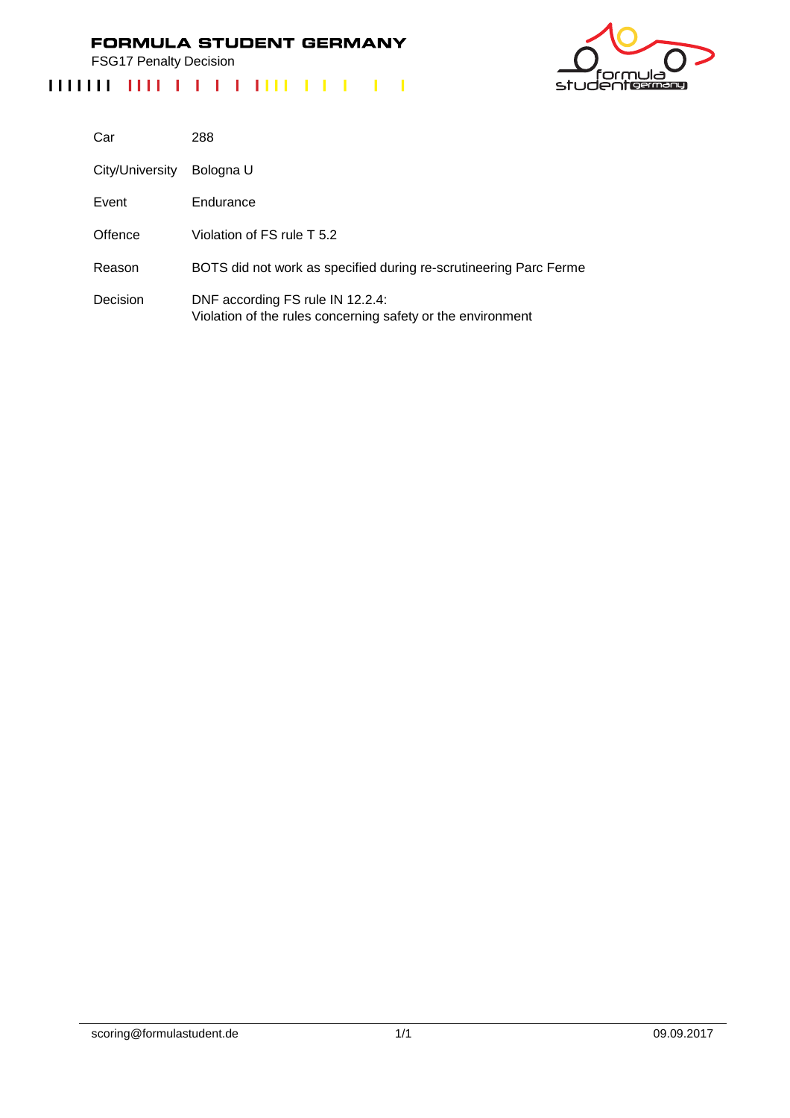FSG17 Penalty Decision

## 'nι ەار studentermang

| Car             | 288                                                                                             |
|-----------------|-------------------------------------------------------------------------------------------------|
| City/University | Bologna U                                                                                       |
| Event           | Endurance                                                                                       |
| Offence         | Violation of FS rule T 5.2                                                                      |
| Reason          | BOTS did not work as specified during re-scrutineering Parc Ferme                               |
| Decision        | DNF according FS rule IN 12.2.4:<br>Violation of the rules concerning safety or the environment |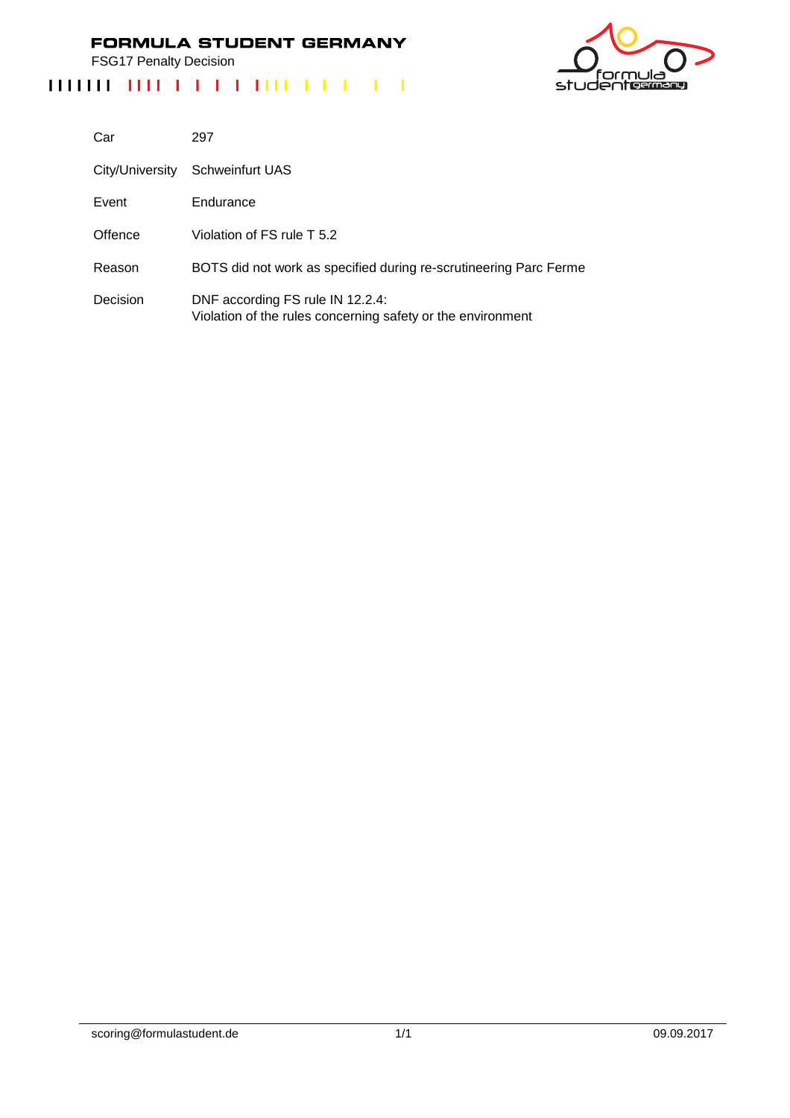FSG17 Penalty Decision

# ەار 'nι studentermang

| Car      | 297                                                                                             |
|----------|-------------------------------------------------------------------------------------------------|
|          | City/University Schweinfurt UAS                                                                 |
| Event    | Endurance                                                                                       |
| Offence  | Violation of FS rule T 5.2                                                                      |
| Reason   | BOTS did not work as specified during re-scrutineering Parc Ferme                               |
| Decision | DNF according FS rule IN 12.2.4:<br>Violation of the rules concerning safety or the environment |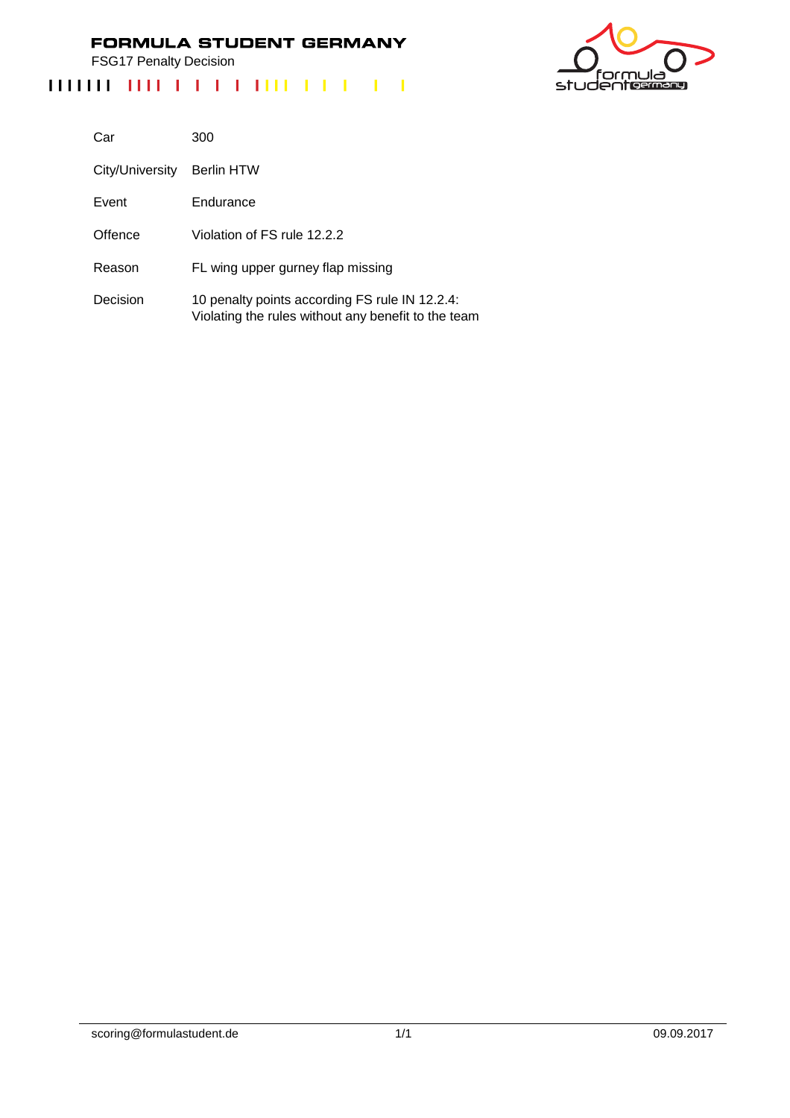FSG17 Penalty Decision

# ے ار studentermang

| Car             | 300                                                                                                   |
|-----------------|-------------------------------------------------------------------------------------------------------|
| City/University | Berlin HTW                                                                                            |
| Event           | Endurance                                                                                             |
| Offence         | Violation of FS rule 12.2.2                                                                           |
| Reason          | FL wing upper gurney flap missing                                                                     |
| Decision        | 10 penalty points according FS rule IN 12.2.4:<br>Violating the rules without any benefit to the team |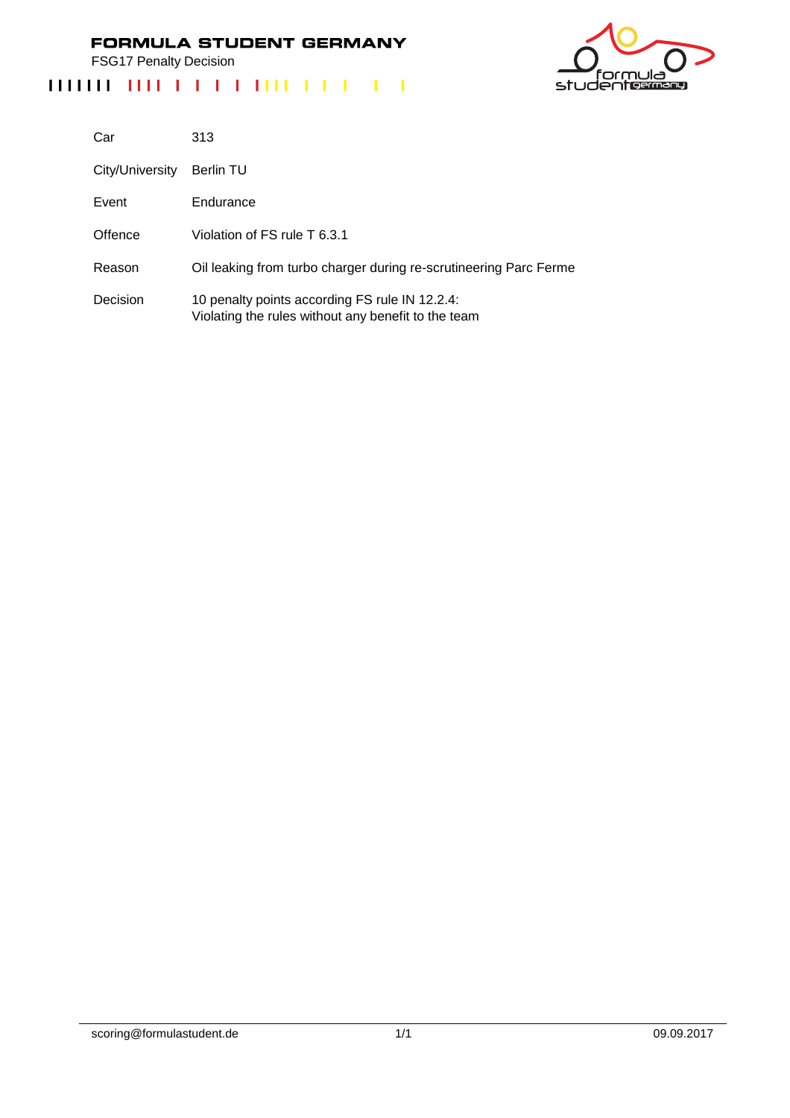FSG17 Penalty Decision

# ەار 'nι studentermang

| Car             | 313                                                                                                   |
|-----------------|-------------------------------------------------------------------------------------------------------|
| City/University | Berlin TU                                                                                             |
| Event           | Endurance                                                                                             |
| Offence         | Violation of FS rule T 6.3.1                                                                          |
| Reason          | Oil leaking from turbo charger during re-scrutineering Parc Ferme                                     |
| Decision        | 10 penalty points according FS rule IN 12.2.4:<br>Violating the rules without any benefit to the team |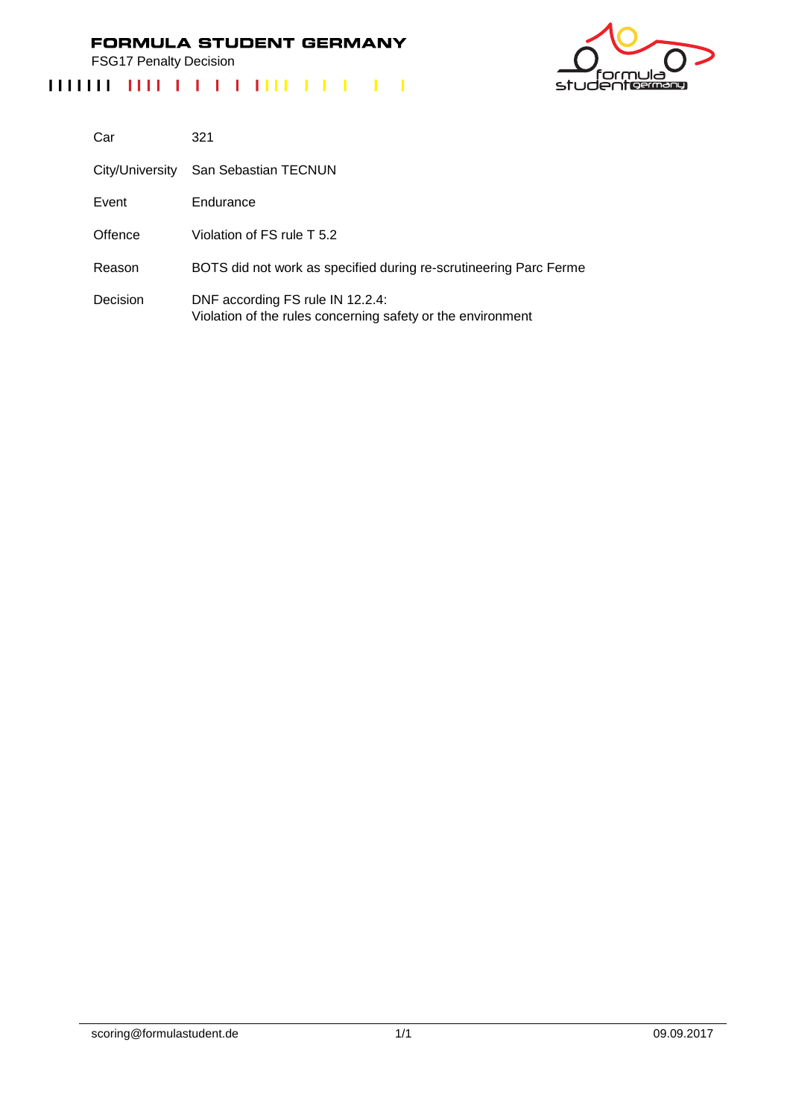FSG17 Penalty Decision



| Car             | 321                                                                                             |
|-----------------|-------------------------------------------------------------------------------------------------|
| City/University | San Sebastian TECNUN                                                                            |
| Event           | Endurance                                                                                       |
| Offence         | Violation of FS rule T 5.2                                                                      |
| Reason          | BOTS did not work as specified during re-scrutineering Parc Ferme                               |
| Decision        | DNF according FS rule IN 12.2.4:<br>Violation of the rules concerning safety or the environment |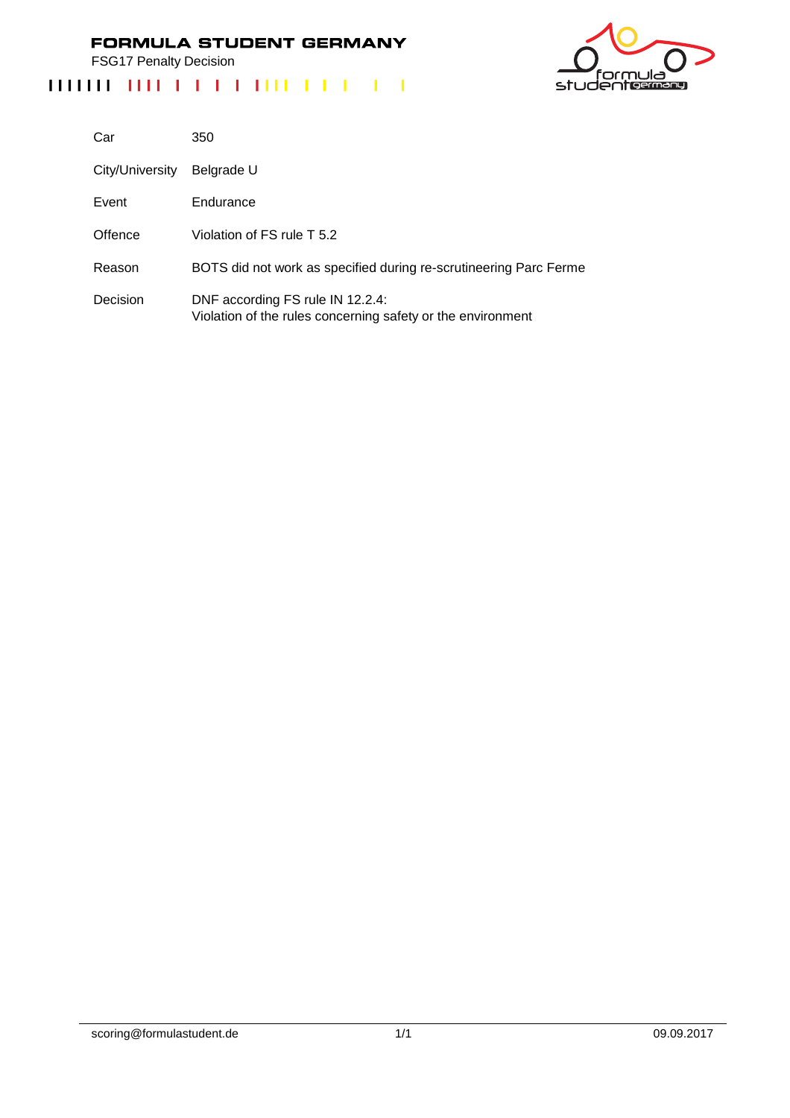FSG17 Penalty Decision

# studenterman

| Car             | 350                                                                                             |
|-----------------|-------------------------------------------------------------------------------------------------|
| City/University | Belgrade U                                                                                      |
| Event           | Endurance                                                                                       |
| Offence         | Violation of FS rule T 5.2                                                                      |
| Reason          | BOTS did not work as specified during re-scrutineering Parc Ferme                               |
| Decision        | DNF according FS rule IN 12.2.4:<br>Violation of the rules concerning safety or the environment |